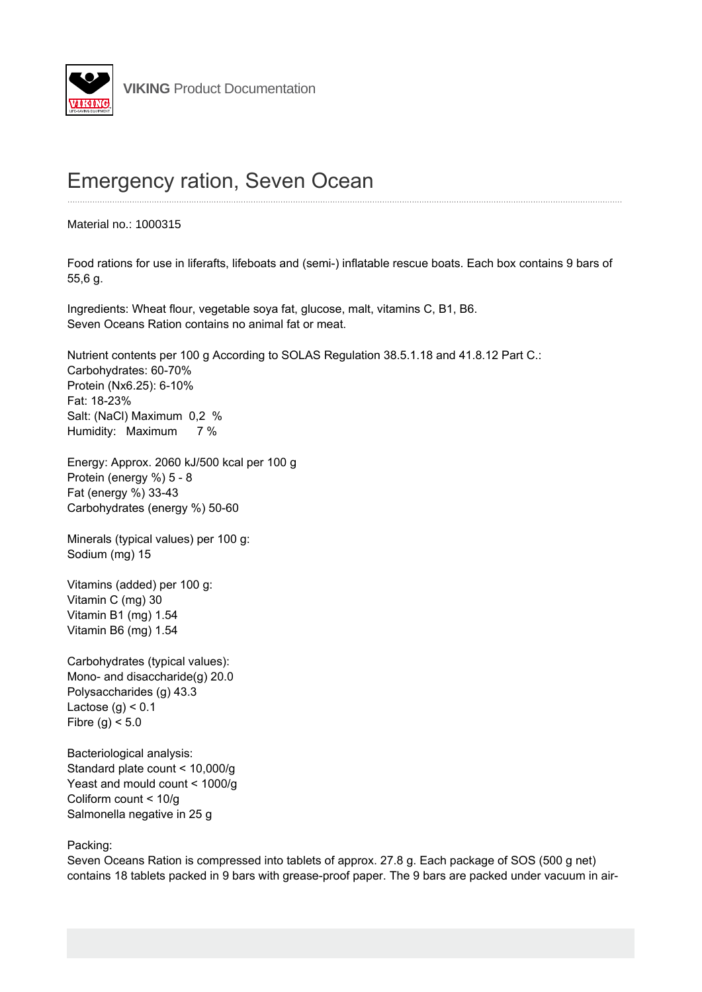

## **Emergency ration, Seven Ocean**

Material no.: 1000315

Food rations for use in liferafts, lifeboats and (semi-) inflatable rescue boats. Each box contains 9 bars of 55,6 g.

Ingredients: Wheat flour, vegetable soya fat, glucose, malt, vitamins C, B1, B6. Seven Oceans Ration contains no animal fat or meat.

Nutrient contents per 100 g According to SOLAS Regulation 38.5.1.18 and 41.8.12 Part C.: Carbohydrates: 60-70% Protein (Nx6.25): 6-10% Fat: 18-23% Salt: (NaCl) Maximum 0.2 % Humidity: Maximum 7 %

Energy: Approx. 2060 kJ/500 kcal per 100 g Protein (energy %) 5 - 8 Fat (energy %) 33-43 Carbohydrates (energy %) 50-60

Minerals (typical values) per 100 g: Sodium (mg) 15

Vitamins (added) per 100 g: Vitamin C (mg) 30 Vitamin B1 (mg) 1.54 Vitamin B6 (mg) 1.54

Carbohydrates (typical values): Mono- and disaccharide(g) 20.0 Polysaccharides (g) 43.3 Lactose  $(q) < 0.1$ Fibre (g)  $<$  5.0

Bacteriological analysis: Standard plate count < 10,000/g Yeast and mould count < 1000/g Coliform count < 10/g Salmonella negative in 25 g

Packing:

Seven Oceans Ration is compressed into tablets of approx. 27.8 g. Each package of SOS (500 g net) contains 18 tablets packed in 9 bars with grease-proof paper. The 9 bars are packed under vacuum in air-